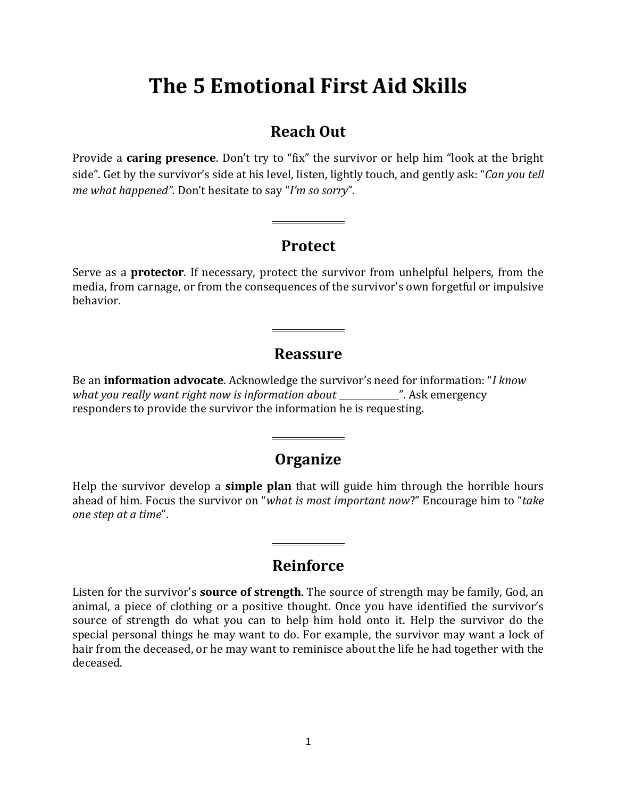# **The 5 Emotional First Aid Skills**

# **Reach Out**

Provide a **caring presence**. Don't try to "fix" the survivor or help him "look at the bright side". Get by the survivor's side at his level, listen, lightly touch, and gently ask: "*Can you tell me what happened".* Don't hesitate to say "*I'm so sorry*".

# **Protect**

Serve as a **protector**. If necessary, protect the survivor from unhelpful helpers, from the media, from carnage, or from the consequences of the survivor's own forgetful or impulsive behavior.

# **Reassure**

Be an **information advocate**. Acknowledge the survivor's need for information: "*I know what you really want right now is information about* ". Ask emergency responders to provide the survivor the information he is requesting.

# **Organize**

Help the survivor develop a **simple plan** that will guide him through the horrible hours ahead of him. Focus the survivor on "*what is most important now*?" Encourage him to "*take one step at a time*".

# **Reinforce**

Listen for the survivor's **source of strength**. The source of strength may be family, God, an animal, a piece of clothing or a positive thought. Once you have identified the survivor's source of strength do what you can to help him hold onto it. Help the survivor do the special personal things he may want to do. For example, the survivor may want a lock of hair from the deceased, or he may want to reminisce about the life he had together with the deceased.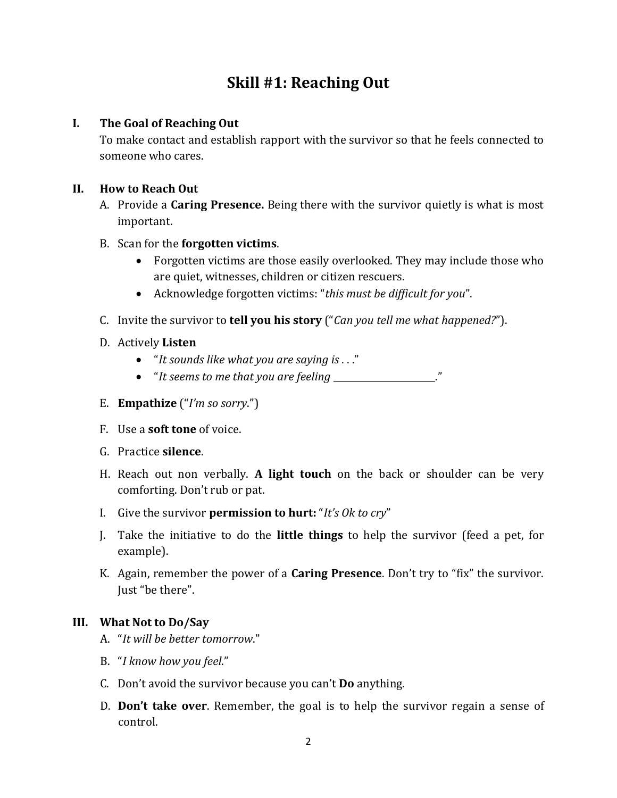# **Skill #1: Reaching Out**

### **I. The Goal of Reaching Out**

To make contact and establish rapport with the survivor so that he feels connected to someone who cares.

# **II. How to Reach Out**

A. Provide a **Caring Presence.** Being there with the survivor quietly is what is most important.

# B. Scan for the **forgotten victims**.

- Forgotten victims are those easily overlooked. They may include those who are quiet, witnesses, children or citizen rescuers.
- Acknowledge forgotten victims: "*this must be difficult for you*".
- C. Invite the survivor to **tell you his story** ("*Can you tell me what happened?*").
- D. Actively **Listen**
	- "*It sounds like what you are saying is* . . ."
	- "It seems to me that you are feeling \_\_\_\_\_\_\_\_\_\_\_\_\_\_\_\_\_."
- E. **Empathize** ("*I'm so sorry*.")
- F. Use a **soft tone** of voice.
- G. Practice **silence**.
- H. Reach out non verbally. **A light touch** on the back or shoulder can be very comforting. Don't rub or pat.
- I. Give the survivor **permission to hurt:** "*It's Ok to cry*"
- J. Take the initiative to do the **little things** to help the survivor (feed a pet, for example).
- K. Again, remember the power of a **Caring Presence**. Don't try to "fix" the survivor. Just "be there".

# **III. What Not to Do/Say**

- A. "*It will be better tomorrow*."
- B. "*I know how you feel*."
- C. Don't avoid the survivor because you can't **Do** anything.
- D. **Don't take over**. Remember, the goal is to help the survivor regain a sense of control.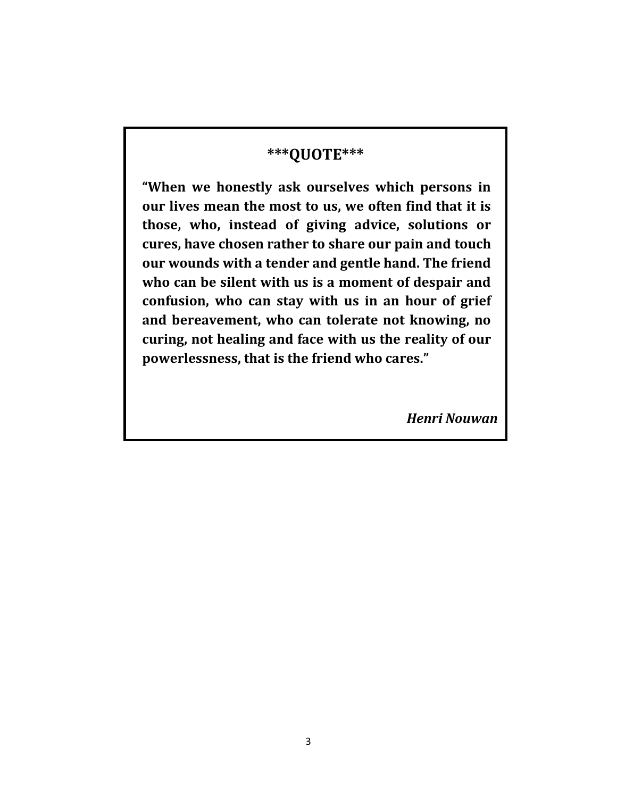# **\*\*\*QUOTE\*\*\***

**"When we honestly ask ourselves which persons in our lives mean the most to us, we often find that it is those, who, instead of giving advice, solutions or cures, have chosen rather to share our pain and touch our wounds with a tender and gentle hand. The friend who can be silent with us is a moment of despair and confusion, who can stay with us in an hour of grief and bereavement, who can tolerate not knowing, no curing, not healing and face with us the reality of our powerlessness, that is the friend who cares."**

*Henri Nouwan*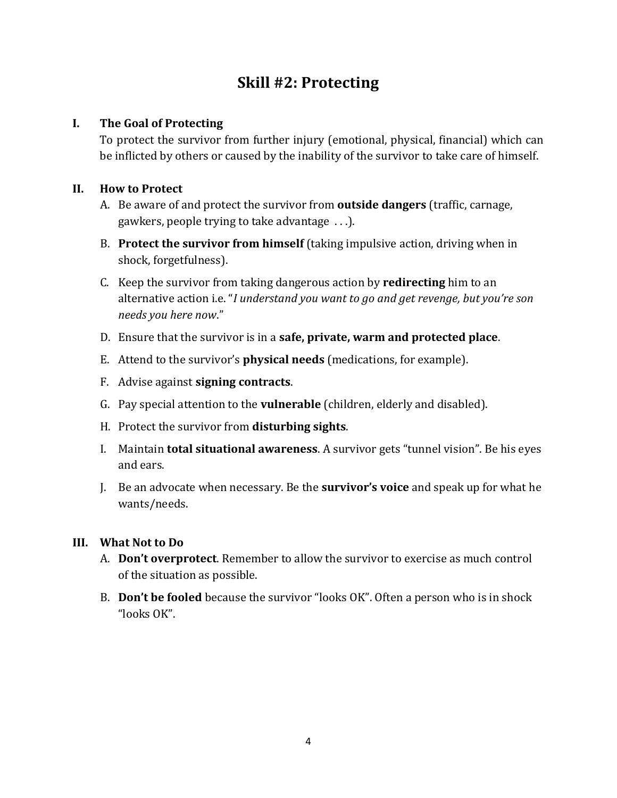# **Skill #2: Protecting**

### **I. The Goal of Protecting**

To protect the survivor from further injury (emotional, physical, financial) which can be inflicted by others or caused by the inability of the survivor to take care of himself.

### **II. How to Protect**

- A. Be aware of and protect the survivor from **outside dangers** (traffic, carnage, gawkers, people trying to take advantage . . .).
- B. **Protect the survivor from himself** (taking impulsive action, driving when in shock, forgetfulness).
- C. Keep the survivor from taking dangerous action by **redirecting** him to an alternative action i.e. "*I understand you want to go and get revenge, but you're son needs you here now*."
- D. Ensure that the survivor is in a **safe, private, warm and protected place**.
- E. Attend to the survivor's **physical needs** (medications, for example).
- F. Advise against **signing contracts**.
- G. Pay special attention to the **vulnerable** (children, elderly and disabled).
- H. Protect the survivor from **disturbing sights**.
- I. Maintain **total situational awareness**. A survivor gets "tunnel vision". Be his eyes and ears.
- J. Be an advocate when necessary. Be the **survivor's voice** and speak up for what he wants/needs.

#### **III. What Not to Do**

- A. **Don't overprotect**. Remember to allow the survivor to exercise as much control of the situation as possible.
- B. **Don't be fooled** because the survivor "looks OK". Often a person who is in shock "looks OK".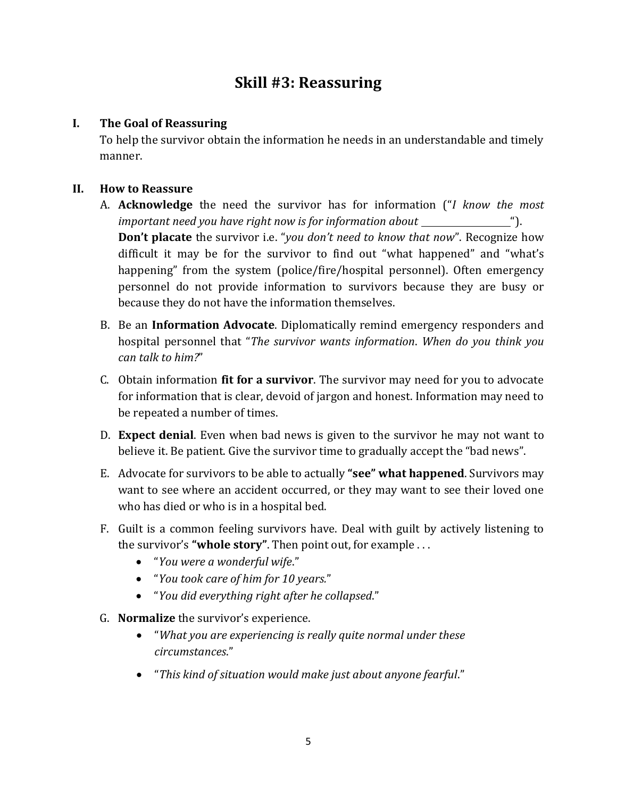# **Skill #3: Reassuring**

### **I. The Goal of Reassuring**

To help the survivor obtain the information he needs in an understandable and timely manner.

#### **II. How to Reassure**

- A. **Acknowledge** the need the survivor has for information ("*I know the most important need you have right now is for information about* "). **Don't placate** the survivor i.e. "*you don't need to know that now*". Recognize how difficult it may be for the survivor to find out "what happened" and "what's happening" from the system (police/fire/hospital personnel). Often emergency personnel do not provide information to survivors because they are busy or because they do not have the information themselves.
- B. Be an **Information Advocate**. Diplomatically remind emergency responders and hospital personnel that "*The survivor wants information*. *When do you think you can talk to him?*"
- C. Obtain information **fit for a survivor**. The survivor may need for you to advocate for information that is clear, devoid of jargon and honest. Information may need to be repeated a number of times.
- D. **Expect denial**. Even when bad news is given to the survivor he may not want to believe it. Be patient. Give the survivor time to gradually accept the "bad news".
- E. Advocate for survivors to be able to actually **"see" what happened**. Survivors may want to see where an accident occurred, or they may want to see their loved one who has died or who is in a hospital bed.
- F. Guilt is a common feeling survivors have. Deal with guilt by actively listening to the survivor's **"whole story"**. Then point out, for example . . .
	- "*You were a wonderful wife*."
	- "*You took care of him for 10 years.*"
	- "*You did everything right after he collapsed*."
- G. **Normalize** the survivor's experience.
	- "*What you are experiencing is really quite normal under these circumstances*."
	- "*This kind of situation would make just about anyone fearful*."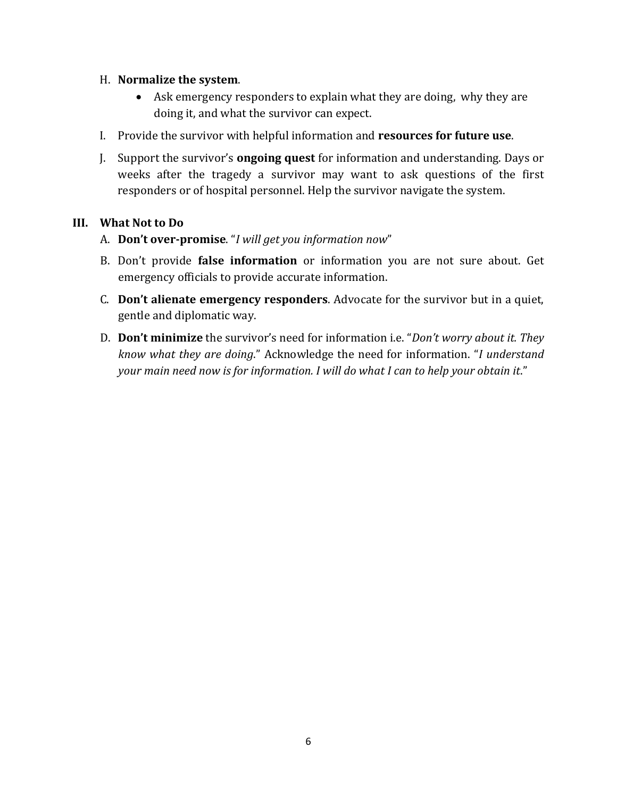#### H. **Normalize the system**.

- Ask emergency responders to explain what they are doing, why they are doing it, and what the survivor can expect.
- I. Provide the survivor with helpful information and **resources for future use**.
- J. Support the survivor's **ongoing quest** for information and understanding. Days or weeks after the tragedy a survivor may want to ask questions of the first responders or of hospital personnel. Help the survivor navigate the system.

#### **III. What Not to Do**

- A. **Don't over-promise**. "*I will get you information now*"
- B. Don't provide **false information** or information you are not sure about. Get emergency officials to provide accurate information.
- C. **Don't alienate emergency responders**. Advocate for the survivor but in a quiet, gentle and diplomatic way.
- D. **Don't minimize** the survivor's need for information i.e. "*Don't worry about it. They know what they are doing*." Acknowledge the need for information. "*I understand your main need now is for information. I will do what I can to help your obtain it*."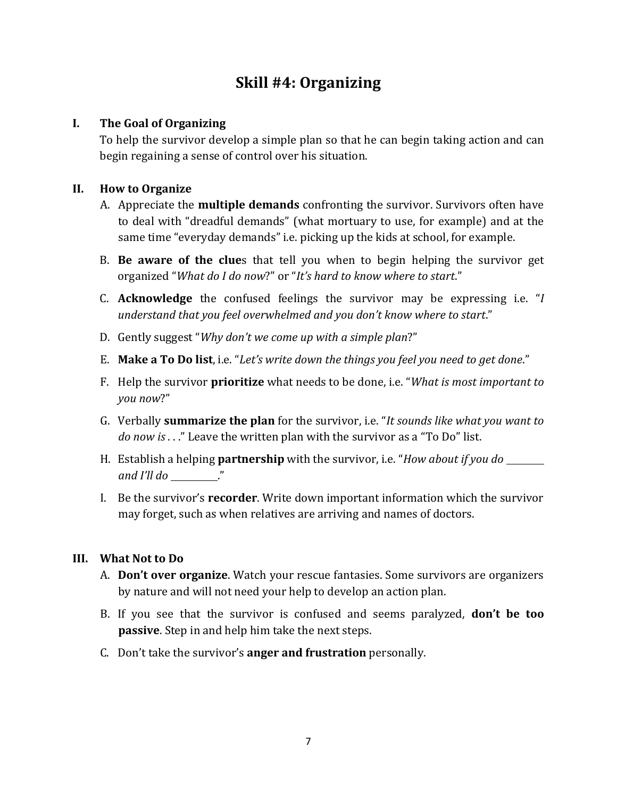# **Skill #4: Organizing**

# **I. The Goal of Organizing**

To help the survivor develop a simple plan so that he can begin taking action and can begin regaining a sense of control over his situation.

# **II. How to Organize**

- A. Appreciate the **multiple demands** confronting the survivor. Survivors often have to deal with "dreadful demands" (what mortuary to use, for example) and at the same time "everyday demands" i.e. picking up the kids at school, for example.
- B. **Be aware of the clue**s that tell you when to begin helping the survivor get organized "*What do I do now*?" or "*It's hard to know where to start*."
- C. **Acknowledge** the confused feelings the survivor may be expressing i.e. "*I understand that you feel overwhelmed and you don't know where to start*."
- D. Gently suggest "*Why don't we come up with a simple plan*?"
- E. **Make a To Do list**, i.e. "*Let's write down the things you feel you need to get done*."
- F. Help the survivor **prioritize** what needs to be done, i.e. "*What is most important to you now*?"
- G. Verbally **summarize the plan** for the survivor, i.e. "*It sounds like what you want to do now is* . . ." Leave the written plan with the survivor as a "To Do" list.
- H. Establish a helping **partnership** with the survivor, i.e. "*How about if you do and I'll do* ."
- I. Be the survivor's **recorder**. Write down important information which the survivor may forget, such as when relatives are arriving and names of doctors.

### **III. What Not to Do**

- A. **Don't over organize**. Watch your rescue fantasies. Some survivors are organizers by nature and will not need your help to develop an action plan.
- B. If you see that the survivor is confused and seems paralyzed, **don't be too passive**. Step in and help him take the next steps.
- C. Don't take the survivor's **anger and frustration** personally.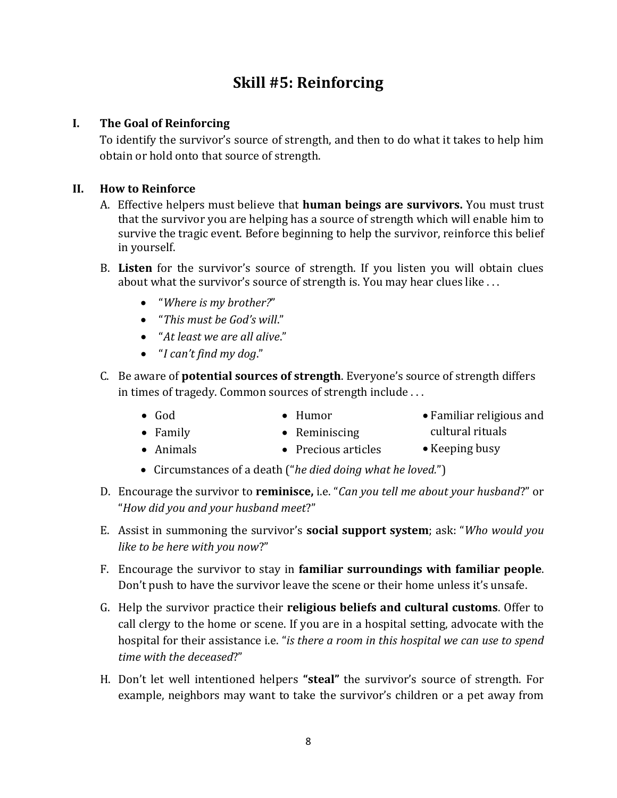# **Skill #5: Reinforcing**

# **I. The Goal of Reinforcing**

To identify the survivor's source of strength, and then to do what it takes to help him obtain or hold onto that source of strength.

#### **II. How to Reinforce**

- A. Effective helpers must believe that **human beings are survivors.** You must trust that the survivor you are helping has a source of strength which will enable him to survive the tragic event. Before beginning to help the survivor, reinforce this belief in yourself.
- B. **Listen** for the survivor's source of strength. If you listen you will obtain clues about what the survivor's source of strength is. You may hear clues like . . .
	- "*Where is my brother?*"
	- "*This must be God's will*."
	- "*At least we are all alive*."
	- "*I can't find my dog*."
- C. Be aware of **potential sources of strength**. Everyone's source of strength differs in times of tragedy. Common sources of strength include . . .
	- God • Humor Familiar religious and
	- Family • Reminiscing
- cultural rituals
- Animals • Precious articles • Keeping busy
- Circumstances of a death ("*he died doing what he loved.*")
- D. Encourage the survivor to **reminisce,** i.e. "*Can you tell me about your husband*?" or "*How did you and your husband meet*?"
- E. Assist in summoning the survivor's **social support system**; ask: "*Who would you like to be here with you now*?"
- F. Encourage the survivor to stay in **familiar surroundings with familiar people**. Don't push to have the survivor leave the scene or their home unless it's unsafe.
- G. Help the survivor practice their **religious beliefs and cultural customs**. Offer to call clergy to the home or scene. If you are in a hospital setting, advocate with the hospital for their assistance i.e. "*is there a room in this hospital we can use to spend time with the deceased*?"
- H. Don't let well intentioned helpers **"steal"** the survivor's source of strength. For example, neighbors may want to take the survivor's children or a pet away from